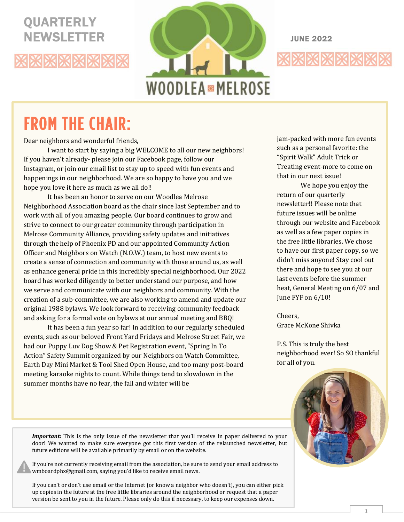# **QUARTERLY**





# **FROM THE CHAIR:**

《※※※※※※※

Dear neighbors and wonderful friends,

I want to start by saying a big WELCOME to all our new neighbors! If you haven't already- please join our Facebook page, follow our Instagram, or join our email list to stay up to speed with fun events and happenings in our neighborhood. We are so happy to have you and we hope you love it here as much as we all do!!

It has been an honor to serve on our Woodlea Melrose Neighborhood Association board as the chair since last September and to work with all of you amazing people. Our board continues to grow and strive to connect to our greater community through participation in Melrose Community Alliance, providing safety updates and initiatives through the help of Phoenix PD and our appointed Community Action Officer and Neighbors on Watch (N.O.W.) team, to host new events to create a sense of connection and community with those around us, as well as enhance general pride in this incredibly special neighborhood. Our 2022 board has worked diligently to better understand our purpose, and how we serve and communicate with our neighbors and community. With the creation of a sub-committee, we are also working to amend and update our original 1988 bylaws. We look forward to receiving community feedback and asking for a formal vote on bylaws at our annual meeting and BBQ!

It has been a fun year so far! In addition to our regularly scheduled events, such as our beloved Front Yard Fridays and Melrose Street Fair, we had our Puppy Luv Dog Show & Pet Registration event, "Spring In To Action" Safety Summit organized by our Neighbors on Watch Committee, Earth Day Mini Market & Tool Shed Open House, and too many post-board meeting karaoke nights to count. While things tend to slowdown in the summer months have no fear, the fall and winter will be

jam-packed with more fun events such as a personal favorite: the "Spirit Walk" Adult Trick or Treating event-more to come on that in our next issue!

We hope you enjoy the return of our quarterly newsletter!! Please note that future issues will be online through our website and Facebook as well as a few paper copies in the free little libraries. We chose to have our first paper copy, so we didn't miss anyone! Stay cool out there and hope to see you at our last events before the summer heat, General Meeting on 6/07 and June FYF on 6/10!

Cheers, Grace McKone Shivka

P.S. This is truly the best neighborhood ever! So SO thankful for all of you.



*Important*: This is the only issue of the newsletter that you'll receive in paper delivered to your door! We wanted to make sure everyone got this first version of the relaunched newsletter, but future editions will be available primarily by email or on the website.

If you're not currently receiving email from the association, be sure to send your email address to wmboardphx@gmail.com, saying you'd like to receive email news.

If you can't or don't use email or the Internet (or know a neighbor who doesn't), you can either pick up copies in the future at the free little libraries around the neighborhood or request that a paper version be sent to you in the future. Please only do this if necessary, to keep our expenses down.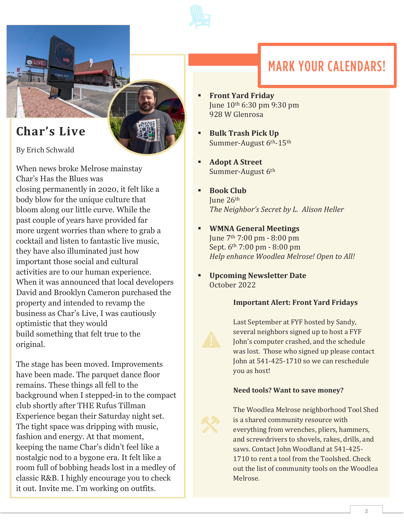

# **MARK YOUR CALENDARS!**

- **Front Yard Friday** June 10th 6:30 pm 9:30 pm 928 W Glenrosa
	- **Bulk Trash Pick Up** Summer-August 6th-15th
	- **Adopt A Street** Summer-August 6th
	- **Book Club** June 26th *The Neighbor's Secret by L. Alison Heller*
	- **WMNA General Meetings** June 7th 7:00 pm - 8:00 pm Sept. 6th 7:00 pm - 8:00 pm *Help enhance Woodlea Melrose! Open to All!*
	- **Upcoming Newsletter Date** October 2022

#### **Important Alert: Front Yard Fridays**

Last September at FYF hosted by Sandy, several neighbors signed up to host a FYF John's computer crashed, and the schedule was lost. Those who signed up please contact John at 541-425-1710 so we can reschedule you as host!

#### **Need tools? Want to save money?**



## **Char's Live**

By Erich Schwald

 $\frac{1}{2}$  | IVE

When news broke Melrose mainstay Char's Has the Blues was closing permanently in 2020, it felt like a body blow for the unique culture that bloom along our little curve. While the past couple of years have provided far more urgent worries than where to grab a cocktail and listen to fantastic live music, they have also illuminated just how important those social and cultural activities are to our human experience. When it was announced that local developers David and Brooklyn Cameron purchased the property and intended to revamp the business as Char's Live, I was cautiously optimistic that they would build something that felt true to the original.

The stage has been moved. Improvements have been made. The parquet dance floor remains. These things all fell to the background when I stepped-in to the compact club shortly after THE Rufus Tillman Experience began their Saturday night set. The tight space was dripping with music, fashion and energy. At that moment, keeping the name Char's didn't feel like a nostalgic nod to a bygone era. It felt like a room full of bobbing heads lost in a medley of classic R&B. I highly encourage you to check it out. Invite me. I'm working on outfits.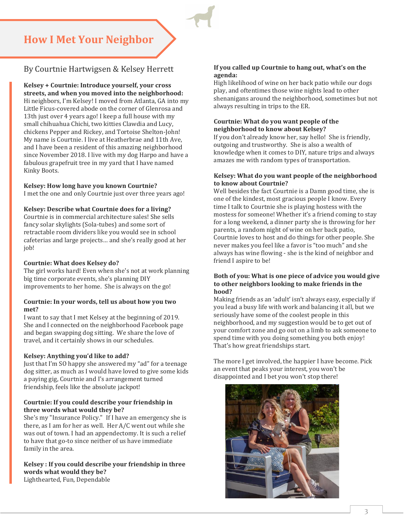### **How I Met Your Neighbor**

#### By Courtnie Hartwigsen & Kelsey Herrett

**Kelsey + Courtnie: Introduce yourself, your cross streets, and when you moved into the neighborhood:**  Hi neighbors, I'm Kelsey! I moved from Atlanta, GA into my Little Ficus-covered abode on the corner of Glenrosa and 13th just over 4 years ago! I keep a full house with my small chihuahua Chichi, two kitties Clawdia and Lucy, chickens Pepper and Rickey, and Tortoise Shelton-John! My name is Courtnie. I live at Heatherbrae and 11th Ave, and I have been a resident of this amazing neighborhood since November 2018. I live with my dog Harpo and have a fabulous grapefruit tree in my yard that I have named Kinky Boots.

**Kelsey: How long have you known Courtnie?**  I met the one and only Courtnie just over three years ago!

**Kelsey: Describe what Courtnie does for a living?**  Courtnie is in commercial architecture sales! She sells fancy solar skylights (Sola-tubes) and some sort of retractable room dividers like you would see in school cafeterias and large projects… and she's really good at her

#### **Courtnie: What does Kelsey do?**

job!

The girl works hard! Even when she's not at work planning big time corporate events, she's planning DIY improvements to her home. She is always on the go!

#### **Courtnie: In your words, tell us about how you two met?**

I want to say that I met Kelsey at the beginning of 2019. She and I connected on the neighborhood Facebook page and began swapping dog sitting. We share the love of travel, and it certainly shows in our schedules.

#### **Kelsey: Anything you'd like to add?**

Just that I'm SO happy she answered my "ad" for a teenage dog sitter, as much as I would have loved to give some kids a paying gig, Courtnie and I's arrangement turned friendship, feels like the absolute jackpot!

#### **Courtnie: If you could describe your friendship in three words what would they be?**

She's my "Insurance Policy." If I have an emergency she is there, as I am for her as well. Her A/C went out while she was out of town. I had an appendectomy. It is such a relief to have that go-to since neither of us have immediate family in the area.

**Kelsey : If you could describe your friendship in three words what would they be?**  Lighthearted, Fun, Dependable

#### **If you called up Courtnie to hang out, what's on the agenda:**

High likelihood of wine on her back patio while our dogs play, and oftentimes those wine nights lead to other shenanigans around the neighborhood, sometimes but not always resulting in trips to the ER.

#### **Courtnie: What do you want people of the neighborhood to know about Kelsey?**

If you don't already know her, say hello! She is friendly, outgoing and trustworthy. She is also a wealth of knowledge when it comes to DIY, nature trips and always amazes me with random types of transportation.

#### **Kelsey: What do you want people of the neighborhood to know about Courtnie?**

Well besides the fact Courtnie is a Damn good time, she is one of the kindest, most gracious people I know. Every time I talk to Courtnie she is playing hostess with the mostess for someone! Whether it's a friend coming to stay for a long weekend, a dinner party she is throwing for her parents, a random night of wine on her back patio, Courtnie loves to host and do things for other people. She never makes you feel like a favor is "too much" and she always has wine flowing - she is the kind of neighbor and friend I aspire to be!

#### **Both of you: What is one piece of advice you would give to other neighbors looking to make friends in the hood?**

Making friends as an 'adult' isn't always easy, especially if you lead a busy life with work and balancing it all, but we seriously have some of the coolest people in this neighborhood, and my suggestion would be to get out of your comfort zone and go out on a limb to ask someone to spend time with you doing something you both enjoy! That's how great friendships start.

The more I get involved, the happier I have become. Pick an event that peaks your interest, you won't be disappointed and I bet you won't stop there!